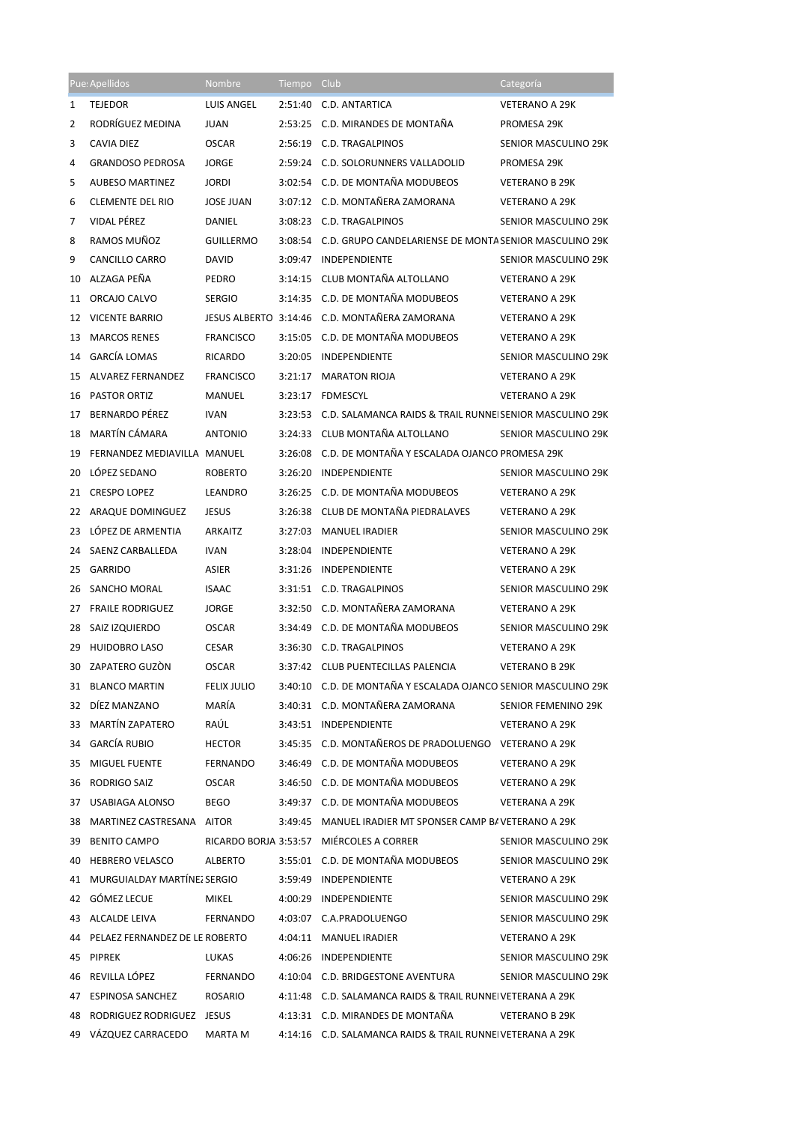|                | Pue: Apellidos                    | <b>Nombre</b>      | Tiempo  | Club                                                            | Categoría                   |
|----------------|-----------------------------------|--------------------|---------|-----------------------------------------------------------------|-----------------------------|
| 1              | <b>TEJEDOR</b>                    | LUIS ANGEL         | 2:51:40 | C.D. ANTARTICA                                                  | <b>VETERANO A 29K</b>       |
| 2              | RODRÍGUEZ MEDINA                  | <b>JUAN</b>        |         | 2:53:25 C.D. MIRANDES DE MONTAÑA                                | <b>PROMESA 29K</b>          |
| 3              | CAVIA DIEZ                        | <b>OSCAR</b>       |         | 2:56:19 C.D. TRAGALPINOS                                        | <b>SENIOR MASCULINO 29K</b> |
| 4              | <b>GRANDOSO PEDROSA</b>           | JORGE              |         | 2:59:24 C.D. SOLORUNNERS VALLADOLID                             | PROMESA 29K                 |
| 5              | <b>AUBESO MARTINEZ</b>            | <b>JORDI</b>       |         | 3:02:54 C.D. DE MONTAÑA MODUBEOS                                | <b>VETERANO B 29K</b>       |
| 6              | <b>CLEMENTE DEL RIO</b>           | <b>JOSE JUAN</b>   |         | 3:07:12 C.D. MONTAÑERA ZAMORANA                                 | <b>VETERANO A 29K</b>       |
| $\overline{7}$ | <b>VIDAL PÉREZ</b>                | <b>DANIEL</b>      |         | 3:08:23 C.D. TRAGALPINOS                                        | SENIOR MASCULINO 29K        |
| 8              | RAMOS MUÑOZ                       | <b>GUILLERMO</b>   |         | 3:08:54 C.D. GRUPO CANDELARIENSE DE MONTA SENIOR MASCULINO 29K  |                             |
| 9              | CANCILLO CARRO                    | <b>DAVID</b>       |         | 3:09:47 INDEPENDIENTE                                           | SENIOR MASCULINO 29K        |
| 10             | ALZAGA PEÑA                       | PEDRO              | 3:14:15 | CLUB MONTAÑA ALTOLLANO                                          | <b>VETERANO A 29K</b>       |
| 11             | ORCAJO CALVO                      | <b>SERGIO</b>      |         | 3:14:35 C.D. DE MONTAÑA MODUBEOS                                | <b>VETERANO A 29K</b>       |
|                | 12 VICENTE BARRIO                 |                    |         | JESUS ALBERTO 3:14:46 C.D. MONTAÑERA ZAMORANA                   | <b>VETERANO A 29K</b>       |
| 13             | <b>MARCOS RENES</b>               | <b>FRANCISCO</b>   |         | 3:15:05 C.D. DE MONTAÑA MODUBEOS                                | <b>VETERANO A 29K</b>       |
| 14             | <b>GARCÍA LOMAS</b>               | <b>RICARDO</b>     |         | 3:20:05 INDEPENDIENTE                                           | SENIOR MASCULINO 29K        |
| 15             | ALVAREZ FERNANDEZ                 | <b>FRANCISCO</b>   |         | 3:21:17 MARATON RIOJA                                           | <b>VETERANO A 29K</b>       |
| 16             | <b>PASTOR ORTIZ</b>               | MANUEL             |         | 3:23:17 FDMESCYL                                                | <b>VETERANO A 29K</b>       |
| 17             | <b>BERNARDO PÉREZ</b>             | <b>IVAN</b>        |         | 3:23:53 C.D. SALAMANCA RAIDS & TRAIL RUNNE SENIOR MASCULINO 29K |                             |
| 18             | MARTÍN CÁMARA                     | <b>ANTONIO</b>     |         | 3:24:33 CLUB MONTAÑA ALTOLLANO                                  | SENIOR MASCULINO 29K        |
| 19             | FERNANDEZ MEDIAVILLA MANUEL       |                    |         | 3:26:08 C.D. DE MONTAÑA Y ESCALADA OJANCO PROMESA 29K           |                             |
| 20             | LÓPEZ SEDANO                      | <b>ROBERTO</b>     |         | 3:26:20 INDEPENDIENTE                                           | SENIOR MASCULINO 29K        |
| 21             | <b>CRESPO LOPEZ</b>               | LEANDRO            |         | 3:26:25 C.D. DE MONTAÑA MODUBEOS                                | <b>VETERANO A 29K</b>       |
|                | 22 ARAQUE DOMINGUEZ               | <b>JESUS</b>       |         | 3:26:38 CLUB DE MONTAÑA PIEDRALAVES                             | <b>VETERANO A 29K</b>       |
| 23             | LOPEZ DE ARMENTIA                 | <b>ARKAITZ</b>     |         | 3:27:03 MANUEL IRADIER                                          | SENIOR MASCULINO 29K        |
| 24             | SAENZ CARBALLEDA                  | <b>IVAN</b>        |         | 3:28:04 INDEPENDIENTE                                           | <b>VETERANO A 29K</b>       |
| 25             | <b>GARRIDO</b>                    | <b>ASIER</b>       |         | 3:31:26 INDEPENDIENTE                                           | <b>VETERANO A 29K</b>       |
| 26             | SANCHO MORAL                      | <b>ISAAC</b>       |         | 3:31:51 C.D. TRAGALPINOS                                        | SENIOR MASCULINO 29K        |
| 27             | <b>FRAILE RODRIGUEZ</b>           | <b>JORGE</b>       |         | 3:32:50 C.D. MONTAÑERA ZAMORANA                                 | <b>VETERANO A 29K</b>       |
| 28             | SAIZ IZQUIERDO                    | <b>OSCAR</b>       |         | 3:34:49 C.D. DE MONTAÑA MODUBEOS                                | SENIOR MASCULINO 29K        |
| 29             | <b>HUIDOBRO LASO</b>              | <b>CESAR</b>       |         | 3:36:30 C.D. TRAGALPINOS                                        | <b>VETERANO A 29K</b>       |
|                | 30 ZAPATERO GUZÒN                 | <b>OSCAR</b>       |         | 3:37:42 CLUB PUENTECILLAS PALENCIA                              | <b>VETERANO B 29K</b>       |
|                | 31 BLANCO MARTIN                  | <b>FELIX JULIO</b> |         | 3:40:10 C.D. DE MONTAÑA Y ESCALADA OJANCO SENIOR MASCULINO 29K  |                             |
|                | 32 DÍEZ MANZANO                   | MARÍA              |         | 3:40:31 C.D. MONTAÑERA ZAMORANA                                 | SENIOR FEMENINO 29K         |
|                | 33 MARTÍN ZAPATERO                | RAÚL               |         | 3:43:51 INDEPENDIENTE                                           | <b>VETERANO A 29K</b>       |
|                | 34 GARCÍA RUBIO                   | HECTOR             |         | 3:45:35 C.D. MONTAÑEROS DE PRADOLUENGO VETERANO A 29K           |                             |
|                | 35 MIGUEL FUENTE                  | FERNANDO           |         | 3:46:49 C.D. DE MONTAÑA MODUBEOS                                | VETERANO A 29K              |
|                | 36 RODRIGO SAIZ                   | <b>OSCAR</b>       |         | 3:46:50 C.D. DE MONTAÑA MODUBEOS                                | VETERANO A 29K              |
|                | 37 USABIAGA ALONSO                | BEGO               |         | 3:49:37 C.D. DE MONTAÑA MODUBEOS                                | VETERANA A 29K              |
|                | 38 MARTINEZ CASTRESANA AITOR      |                    |         | 3:49:45 MANUEL IRADIER MT SPONSER CAMP B/ VETERANO A 29K        |                             |
|                | 39 BENITO CAMPO                   |                    |         | RICARDO BORJA 3:53:57 MIÉRCOLES A CORRER                        | SENIOR MASCULINO 29K        |
|                | 40 HEBRERO VELASCO                | ALBERTO            |         | 3:55:01 C.D. DE MONTAÑA MODUBEOS                                | SENIOR MASCULINO 29K        |
|                | 41 MURGUIALDAY MARTÍNEZ SERGIO    |                    |         | 3:59:49 INDEPENDIENTE                                           | <b>VETERANO A 29K</b>       |
|                | 42 GÓMEZ LECUE                    | MIKEL              |         | 4:00:29 INDEPENDIENTE                                           | SENIOR MASCULINO 29K        |
|                | 43 ALCALDE LEIVA                  | FERNANDO           |         | 4:03:07 C.A.PRADOLUENGO                                         | SENIOR MASCULINO 29K        |
|                | 44 PELAEZ FERNANDEZ DE LE ROBERTO |                    |         | 4:04:11 MANUEL IRADIER                                          | <b>VETERANO A 29K</b>       |
|                | 45 PIPREK                         | LUKAS              |         | 4:06:26 INDEPENDIENTE                                           | SENIOR MASCULINO 29K        |
|                | 46 REVILLA LÓPEZ                  | FERNANDO           |         | 4:10:04 C.D. BRIDGESTONE AVENTURA                               | SENIOR MASCULINO 29K        |
| 47             | <b>ESPINOSA SANCHEZ</b>           | ROSARIO            |         | 4:11:48 C.D. SALAMANCA RAIDS & TRAIL RUNNE VETERANA A 29K       |                             |
|                | 48 RODRIGUEZ RODRIGUEZ JESUS      |                    |         | 4:13:31 C.D. MIRANDES DE MONTAÑA                                | <b>VETERANO B 29K</b>       |
|                | 49 VÁZQUEZ CARRACEDO              | MARTA M            |         | 4:14:16 C.D. SALAMANCA RAIDS & TRAIL RUNNE VETERANA A 29K       |                             |